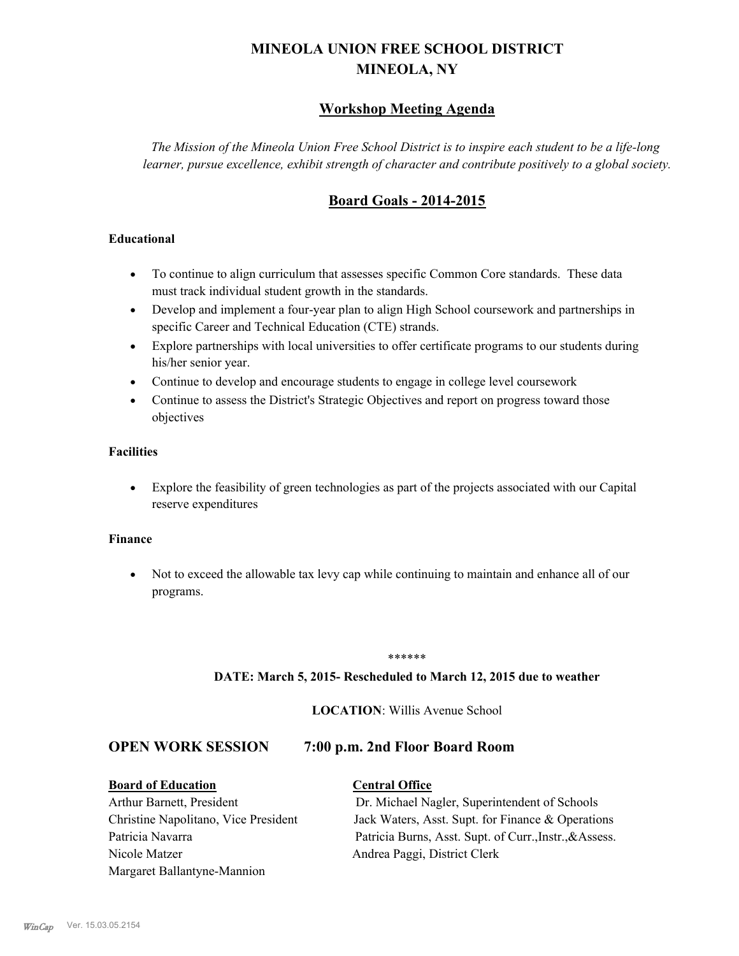# **MINEOLA UNION FREE SCHOOL DISTRICT MINEOLA, NY**

# **Workshop Meeting Agenda**

*The Mission of the Mineola Union Free School District is to inspire each student to be a life-long learner, pursue excellence, exhibit strength of character and contribute positively to a global society.*

# **Board Goals - 2014-2015**

### **Educational**

- · To continue to align curriculum that assesses specific Common Core standards. These data must track individual student growth in the standards.
- · Develop and implement a four-year plan to align High School coursework and partnerships in specific Career and Technical Education (CTE) strands.
- · Explore partnerships with local universities to offer certificate programs to our students during his/her senior year.
- · Continue to develop and encourage students to engage in college level coursework
- Continue to assess the District's Strategic Objectives and report on progress toward those objectives

### **Facilities**

· Explore the feasibility of green technologies as part of the projects associated with our Capital reserve expenditures

#### **Finance**

· Not to exceed the allowable tax levy cap while continuing to maintain and enhance all of our programs.

#### \*\*\*\*\*\*

#### **DATE: March 5, 2015- Rescheduled to March 12, 2015 due to weather**

### **LOCATION**: Willis Avenue School

### **OPEN WORK SESSION 7:00 p.m. 2nd Floor Board Room**

#### **Board of Education Central Office**

Nicole Matzer Andrea Paggi, District Clerk Margaret Ballantyne-Mannion

Arthur Barnett, President Dr. Michael Nagler, Superintendent of Schools Christine Napolitano, Vice President Jack Waters, Asst. Supt. for Finance & Operations Patricia Navarra Patricia Burns, Asst. Supt. of Curr., Instr., & Assess.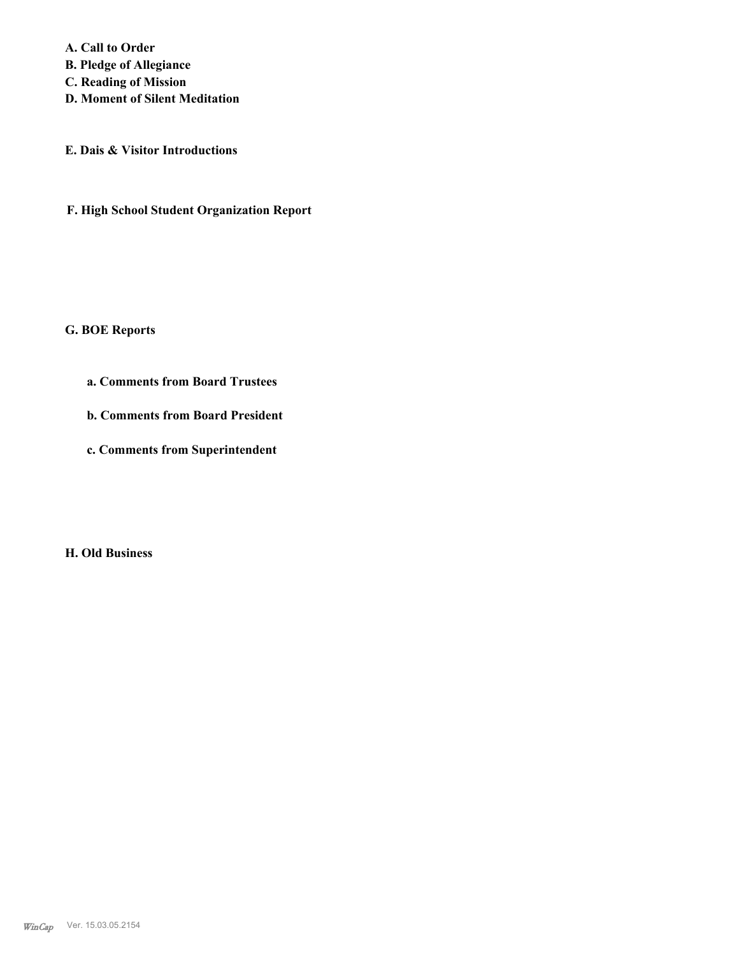**A. Call to Order** 

**B. Pledge of Allegiance**

**C. Reading of Mission**

**D. Moment of Silent Meditation**

**E. Dais & Visitor Introductions**

**F. High School Student Organization Report**

#### **G. BOE Reports**

- **a. Comments from Board Trustees**
- **b. Comments from Board President**
- **c. Comments from Superintendent**

**H. Old Business**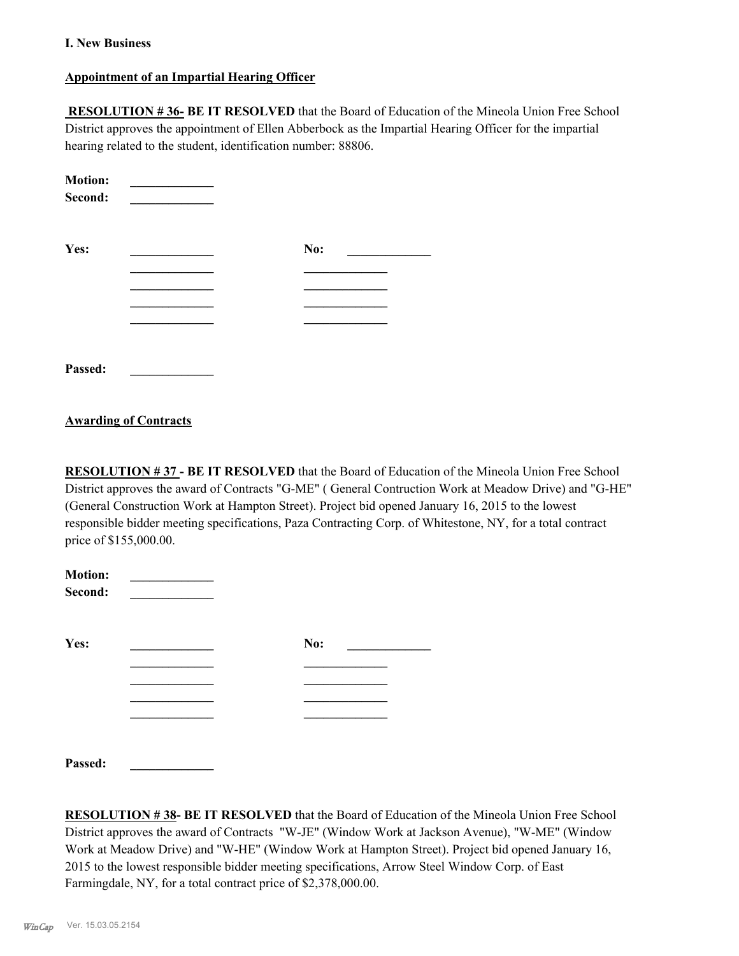#### **I. New Business**

### **Appointment of an Impartial Hearing Officer**

 **RESOLUTION # 36- BE IT RESOLVED** that the Board of Education of the Mineola Union Free School District approves the appointment of Ellen Abberbock as the Impartial Hearing Officer for the impartial hearing related to the student, identification number: 88806.

| <b>Motion:</b><br>Second: |     |  |
|---------------------------|-----|--|
| Yes:                      | No: |  |
|                           |     |  |
|                           |     |  |
|                           |     |  |
|                           |     |  |
| Passed:                   |     |  |

#### **Awarding of Contracts**

**RESOLUTION # 37 - BE IT RESOLVED** that the Board of Education of the Mineola Union Free School District approves the award of Contracts "G-ME" ( General Contruction Work at Meadow Drive) and "G-HE" (General Construction Work at Hampton Street). Project bid opened January 16, 2015 to the lowest responsible bidder meeting specifications, Paza Contracting Corp. of Whitestone, NY, for a total contract price of \$155,000.00.

| <b>Motion:</b><br>Second: |     |  |
|---------------------------|-----|--|
| Yes:                      | No: |  |
|                           |     |  |
|                           |     |  |
|                           |     |  |
|                           |     |  |
| Passed:                   |     |  |

**RESOLUTION # 38- BE IT RESOLVED** that the Board of Education of the Mineola Union Free School District approves the award of Contracts "W-JE" (Window Work at Jackson Avenue), "W-ME" (Window Work at Meadow Drive) and "W-HE" (Window Work at Hampton Street). Project bid opened January 16, 2015 to the lowest responsible bidder meeting specifications, Arrow Steel Window Corp. of East Farmingdale, NY, for a total contract price of \$2,378,000.00.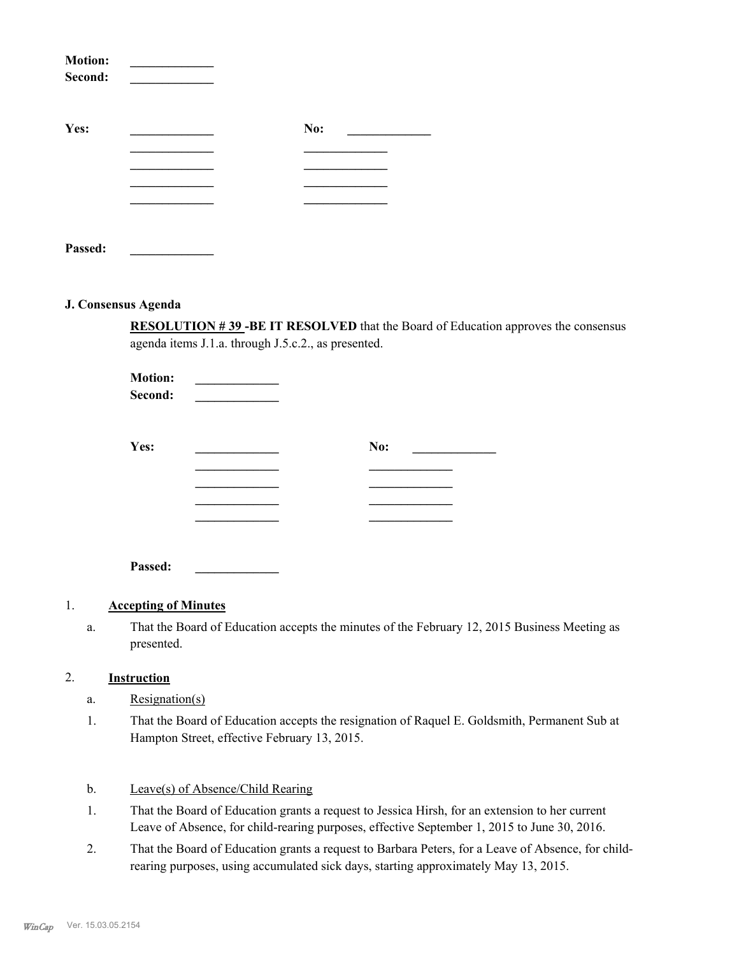| <b>Motion:</b><br>Second: |     |  |
|---------------------------|-----|--|
| Yes:                      | No: |  |
|                           |     |  |
|                           |     |  |
|                           |     |  |
|                           |     |  |
| Passed:                   |     |  |

#### **J. Consensus Agenda**

**RESOLUTION # 39 -BE IT RESOLVED** that the Board of Education approves the consensus agenda items J.1.a. through J.5.c.2., as presented.

| <b>Motion:</b><br>Second: |     |
|---------------------------|-----|
| Yes:                      | No: |
|                           |     |
|                           |     |

**Passed: \_\_\_\_\_\_\_\_\_\_\_\_\_**

#### 1. **Accepting of Minutes**

That the Board of Education accepts the minutes of the February 12, 2015 Business Meeting as presented. a.

### 2. **Instruction**

- a. Resignation(s)
- That the Board of Education accepts the resignation of Raquel E. Goldsmith, Permanent Sub at Hampton Street, effective February 13, 2015. 1.

#### b. Leave(s) of Absence/Child Rearing

- That the Board of Education grants a request to Jessica Hirsh, for an extension to her current Leave of Absence, for child-rearing purposes, effective September 1, 2015 to June 30, 2016. 1.
- That the Board of Education grants a request to Barbara Peters, for a Leave of Absence, for childrearing purposes, using accumulated sick days, starting approximately May 13, 2015. 2.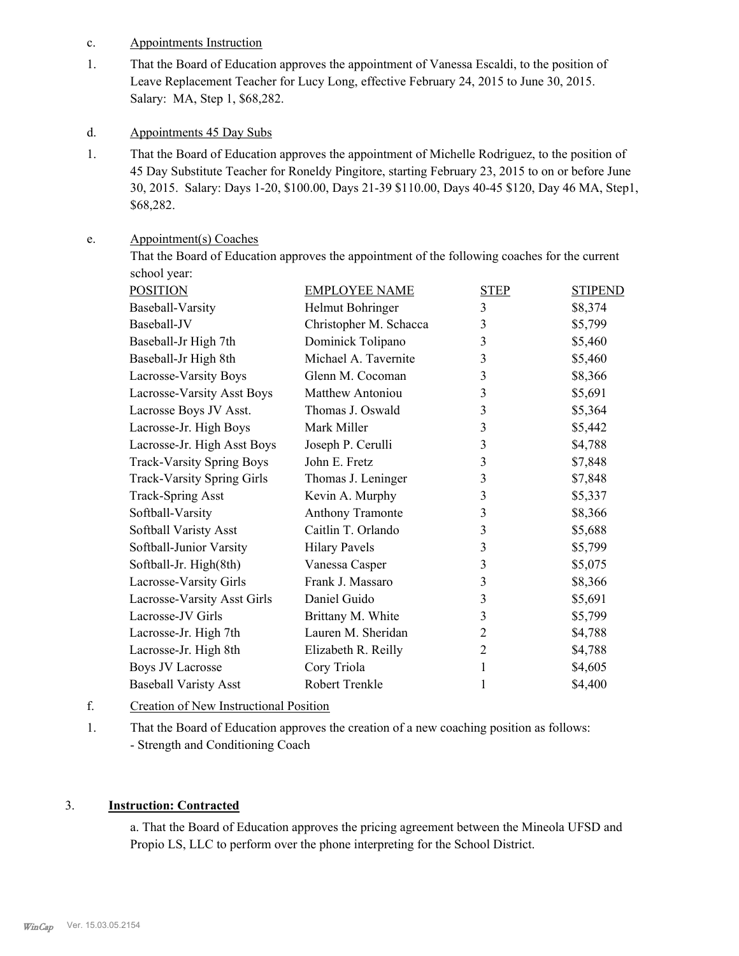- c. Appointments Instruction
- That the Board of Education approves the appointment of Vanessa Escaldi, to the position of Leave Replacement Teacher for Lucy Long, effective February 24, 2015 to June 30, 2015. Salary: MA, Step 1, \$68,282. 1.
- d. Appointments 45 Day Subs
- That the Board of Education approves the appointment of Michelle Rodriguez, to the position of 45 Day Substitute Teacher for Roneldy Pingitore, starting February 23, 2015 to on or before June 30, 2015. Salary: Days 1-20, \$100.00, Days 21-39 \$110.00, Days 40-45 \$120, Day 46 MA, Step1, \$68,282. 1.

#### Appointment(s) Coaches e.

That the Board of Education approves the appointment of the following coaches for the current school year:

| <b>POSITION</b>                   | <b>EMPLOYEE NAME</b>   | <b>STEP</b>    | <b>STIPEND</b> |
|-----------------------------------|------------------------|----------------|----------------|
| Baseball-Varsity                  | Helmut Bohringer       | 3              | \$8,374        |
| Baseball-JV                       | Christopher M. Schacca | 3              | \$5,799        |
| Baseball-Jr High 7th              | Dominick Tolipano      | 3              | \$5,460        |
| Baseball-Jr High 8th              | Michael A. Tavernite   | 3              | \$5,460        |
| Lacrosse-Varsity Boys             | Glenn M. Cocoman       | 3              | \$8,366        |
| Lacrosse-Varsity Asst Boys        | Matthew Antoniou       | 3              | \$5,691        |
| Lacrosse Boys JV Asst.            | Thomas J. Oswald       | 3              | \$5,364        |
| Lacrosse-Jr. High Boys            | Mark Miller            | 3              | \$5,442        |
| Lacrosse-Jr. High Asst Boys       | Joseph P. Cerulli      | 3              | \$4,788        |
| <b>Track-Varsity Spring Boys</b>  | John E. Fretz          | 3              | \$7,848        |
| <b>Track-Varsity Spring Girls</b> | Thomas J. Leninger     | 3              | \$7,848        |
| <b>Track-Spring Asst</b>          | Kevin A. Murphy        | 3              | \$5,337        |
| Softball-Varsity                  | Anthony Tramonte       | 3              | \$8,366        |
| Softball Varisty Asst             | Caitlin T. Orlando     | 3              | \$5,688        |
| Softball-Junior Varsity           | <b>Hilary Pavels</b>   | 3              | \$5,799        |
| Softball-Jr. High(8th)            | Vanessa Casper         | 3              | \$5,075        |
| Lacrosse-Varsity Girls            | Frank J. Massaro       | 3              | \$8,366        |
| Lacrosse-Varsity Asst Girls       | Daniel Guido           | 3              | \$5,691        |
| Lacrosse-JV Girls                 | Brittany M. White      | 3              | \$5,799        |
| Lacrosse-Jr. High 7th             | Lauren M. Sheridan     | 2              | \$4,788        |
| Lacrosse-Jr. High 8th             | Elizabeth R. Reilly    | $\overline{2}$ | \$4,788        |
| <b>Boys JV Lacrosse</b>           | Cory Triola            | 1              | \$4,605        |
| <b>Baseball Varisty Asst</b>      | Robert Trenkle         | 1              | \$4,400        |
|                                   |                        |                |                |

## f. Creation of New Instructional Position

That the Board of Education approves the creation of a new coaching position as follows: - Strength and Conditioning Coach 1.

### 3. **Instruction: Contracted**

a. That the Board of Education approves the pricing agreement between the Mineola UFSD and Propio LS, LLC to perform over the phone interpreting for the School District.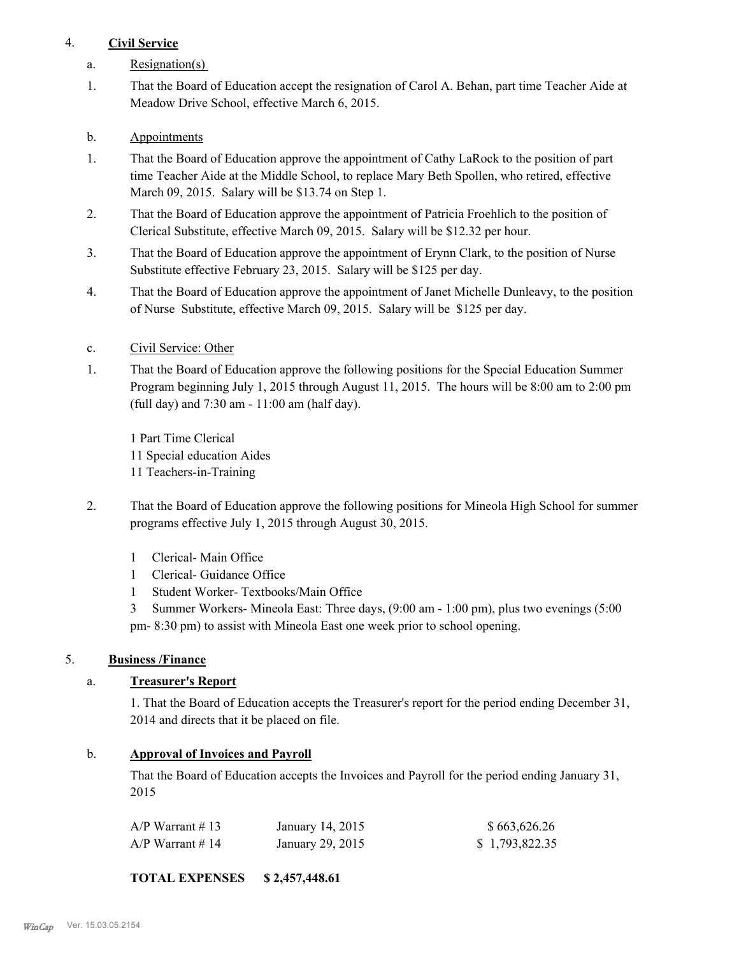# 4. **Civil Service**

- a. Resignation(s)
- That the Board of Education accept the resignation of Carol A. Behan, part time Teacher Aide at Meadow Drive School, effective March 6, 2015. 1.
- b. Appointments
- That the Board of Education approve the appointment of Cathy LaRock to the position of part time Teacher Aide at the Middle School, to replace Mary Beth Spollen, who retired, effective March 09, 2015. Salary will be \$13.74 on Step 1. 1.
- That the Board of Education approve the appointment of Patricia Froehlich to the position of Clerical Substitute, effective March 09, 2015. Salary will be \$12.32 per hour. 2.
- That the Board of Education approve the appointment of Erynn Clark, to the position of Nurse Substitute effective February 23, 2015. Salary will be \$125 per day. 3.
- That the Board of Education approve the appointment of Janet Michelle Dunleavy, to the position of Nurse Substitute, effective March 09, 2015. Salary will be \$125 per day. 4.
- c. Civil Service: Other
- That the Board of Education approve the following positions for the Special Education Summer Program beginning July 1, 2015 through August 11, 2015. The hours will be 8:00 am to 2:00 pm (full day) and 7:30 am - 11:00 am (half day). 1.

1 Part Time Clerical 11 Special education Aides 11 Teachers-in-Training

- That the Board of Education approve the following positions for Mineola High School for summer programs effective July 1, 2015 through August 30, 2015. 2.
	- 1 Clerical- Main Office
	- 1 Clerical- Guidance Office
	- 1 Student Worker- Textbooks/Main Office
	- 3 Summer Workers- Mineola East: Three days, (9:00 am 1:00 pm), plus two evenings (5:00 pm- 8:30 pm) to assist with Mineola East one week prior to school opening.

# 5. **Business /Finance**

# a. **Treasurer's Report**

1. That the Board of Education accepts the Treasurer's report for the period ending December 31, 2014 and directs that it be placed on file.

### b. **Approval of Invoices and Payroll**

That the Board of Education accepts the Invoices and Payroll for the period ending January 31, 2015

| A/P Warrant # 13 | January 14, 2015 | \$663,626.26   |
|------------------|------------------|----------------|
| A/P Warrant # 14 | January 29, 2015 | \$1,793,822.35 |

**TOTAL EXPENSES \$ 2,457,448.61**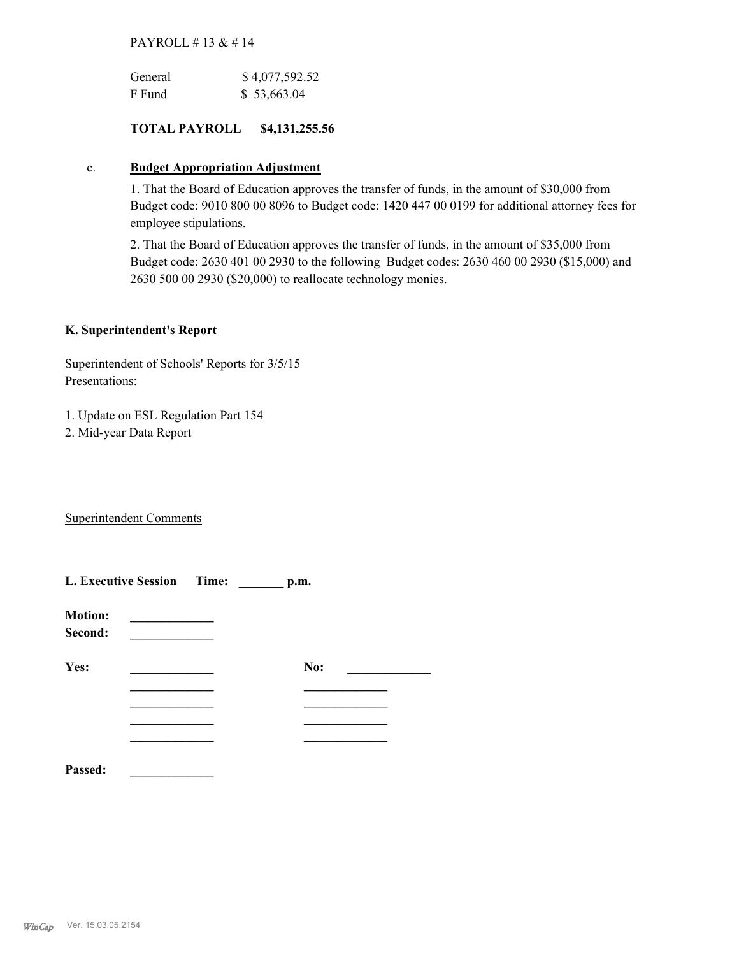#### PAYROLL # 13 & # 14

| General | \$4,077,592.52 |
|---------|----------------|
| F Fund  | \$53,663.04    |

### **TOTAL PAYROLL \$4,131,255.56**

#### c. **Budget Appropriation Adjustment**

1. That the Board of Education approves the transfer of funds, in the amount of \$30,000 from Budget code: 9010 800 00 8096 to Budget code: 1420 447 00 0199 for additional attorney fees for employee stipulations.

2. That the Board of Education approves the transfer of funds, in the amount of \$35,000 from Budget code: 2630 401 00 2930 to the following Budget codes: 2630 460 00 2930 (\$15,000) and 2630 500 00 2930 (\$20,000) to reallocate technology monies.

### **K. Superintendent's Report**

Superintendent of Schools' Reports for 3/5/15 Presentations:

1. Update on ESL Regulation Part 154

2. Mid-year Data Report

Superintendent Comments

|                           | L. Executive Session Time: | p.m. |  |
|---------------------------|----------------------------|------|--|
| <b>Motion:</b><br>Second: |                            |      |  |
| Yes:                      |                            | No:  |  |
|                           |                            |      |  |
|                           |                            |      |  |
|                           |                            |      |  |
|                           |                            |      |  |
| Passed:                   |                            |      |  |